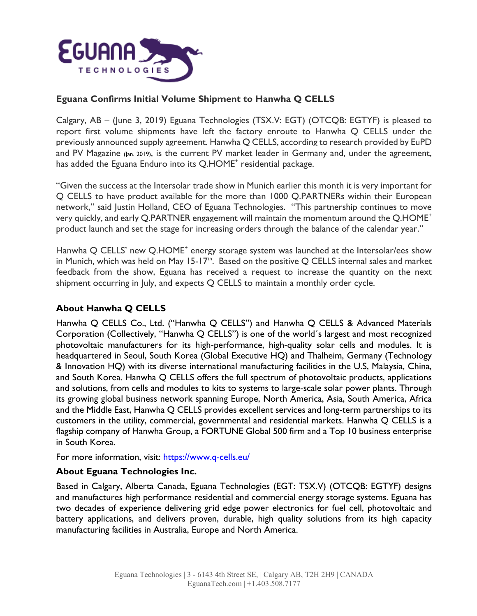

## **Eguana Confirms Initial Volume Shipment to Hanwha Q CELLS**

Calgary, AB – (June 3, 2019) Eguana Technologies (TSX.V: EGT) (OTCQB: EGTYF) is pleased to report first volume shipments have left the factory enroute to Hanwha Q CELLS under the previously announced supply agreement. Hanwha Q CELLS, according to research provided by EuPD and PV Magazine (Jan. 2019), is the current PV market leader in Germany and, under the agreement, has added the Eguana Enduro into its Q.HOME<sup>+</sup> residential package.

"Given the success at the Intersolar trade show in Munich earlier this month it is very important for Q CELLS to have product available for the more than 1000 Q.PARTNERs within their European network," said Justin Holland, CEO of Eguana Technologies. "This partnership continues to move very quickly, and early Q.PARTNER engagement will maintain the momentum around the Q.HOME+ product launch and set the stage for increasing orders through the balance of the calendar year."

Hanwha Q CELLS' new Q.HOME<sup>+</sup> energy storage system was launched at the Intersolar/ees show in Munich, which was held on May 15-17<sup>th</sup>. Based on the positive Q CELLS internal sales and market feedback from the show, Eguana has received a request to increase the quantity on the next shipment occurring in July, and expects Q CELLS to maintain a monthly order cycle.

## **About Hanwha Q CELLS**

Hanwha Q CELLS Co., Ltd. ("Hanwha Q CELLS") and Hanwha Q CELLS & Advanced Materials Corporation (Collectively, "Hanwha Q CELLS") is one of the world´s largest and most recognized photovoltaic manufacturers for its high-performance, high-quality solar cells and modules. It is headquartered in Seoul, South Korea (Global Executive HQ) and Thalheim, Germany (Technology & Innovation HQ) with its diverse international manufacturing facilities in the U.S, Malaysia, China, and South Korea. Hanwha Q CELLS offers the full spectrum of photovoltaic products, applications and solutions, from cells and modules to kits to systems to large-scale solar power plants. Through its growing global business network spanning Europe, North America, Asia, South America, Africa and the Middle East, Hanwha Q CELLS provides excellent services and long-term partnerships to its customers in the utility, commercial, governmental and residential markets. Hanwha Q CELLS is a flagship company of Hanwha Group, a FORTUNE Global 500 firm and a Top 10 business enterprise in South Korea.

For more information, visit: <https://www.q-cells.eu/>

## **About Eguana Technologies Inc.**

Based in Calgary, Alberta Canada, Eguana Technologies (EGT: TSX.V) (OTCQB: EGTYF) designs and manufactures high performance residential and commercial energy storage systems. Eguana has two decades of experience delivering grid edge power electronics for fuel cell, photovoltaic and battery applications, and delivers proven, durable, high quality solutions from its high capacity manufacturing facilities in Australia, Europe and North America.